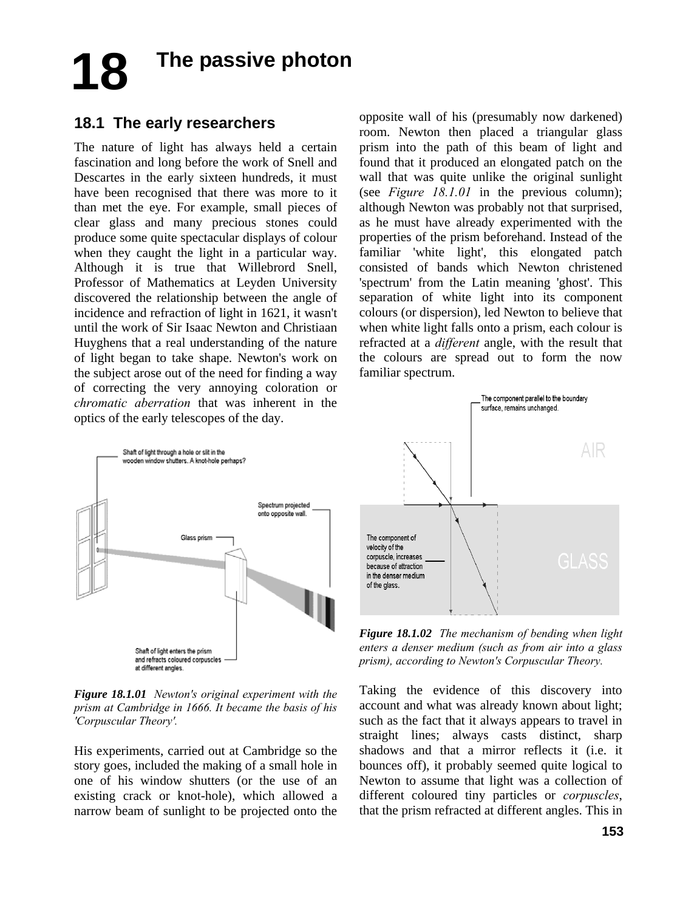# **18 The passive photon**

## **18.1 The early researchers**

The nature of light has always held a certain fascination and long before the work of Snell and Descartes in the early sixteen hundreds, it must have been recognised that there was more to it than met the eye. For example, small pieces of clear glass and many precious stones could produce some quite spectacular displays of colour when they caught the light in a particular way. Although it is true that Willebrord Snell, Professor of Mathematics at Leyden University discovered the relationship between the angle of incidence and refraction of light in 1621, it wasn't until the work of Sir Isaac Newton and Christiaan Huyghens that a real understanding of the nature of light began to take shape. Newton's work on the subject arose out of the need for finding a way of correcting the very annoying coloration or *chromatic aberration* that was inherent in the optics of the early telescopes of the day.

opposite wall of his (presumably now darkened) room. Newton then placed a triangular glass prism into the path of this beam of light and found that it produced an elongated patch on the wall that was quite unlike the original sunlight (see *Figure 18.1.01* in the previous column); although Newton was probably not that surprised, as he must have already experimented with the properties of the prism beforehand. Instead of the familiar 'white light', this elongated patch consisted of bands which Newton christened 'spectrum' from the Latin meaning 'ghost'. This separation of white light into its component colours (or dispersion), led Newton to believe that when white light falls onto a prism, each colour is refracted at a *different* angle, with the result that the colours are spread out to form the now familiar spectrum.



*Figure 18.1.01 Newton's original experiment with the prism at Cambridge in 1666. It became the basis of his 'Corpuscular Theory'.* 

His experiments, carried out at Cambridge so the story goes, included the making of a small hole in one of his window shutters (or the use of an existing crack or knot-hole), which allowed a narrow beam of sunlight to be projected onto the



*Figure 18.1.02 The mechanism of bending when light enters a denser medium (such as from air into a glass prism), according to Newton's Corpuscular Theory.*

Taking the evidence of this discovery into account and what was already known about light; such as the fact that it always appears to travel in straight lines; always casts distinct, sharp shadows and that a mirror reflects it (i.e. it bounces off), it probably seemed quite logical to Newton to assume that light was a collection of different coloured tiny particles or *corpuscles*, that the prism refracted at different angles. This in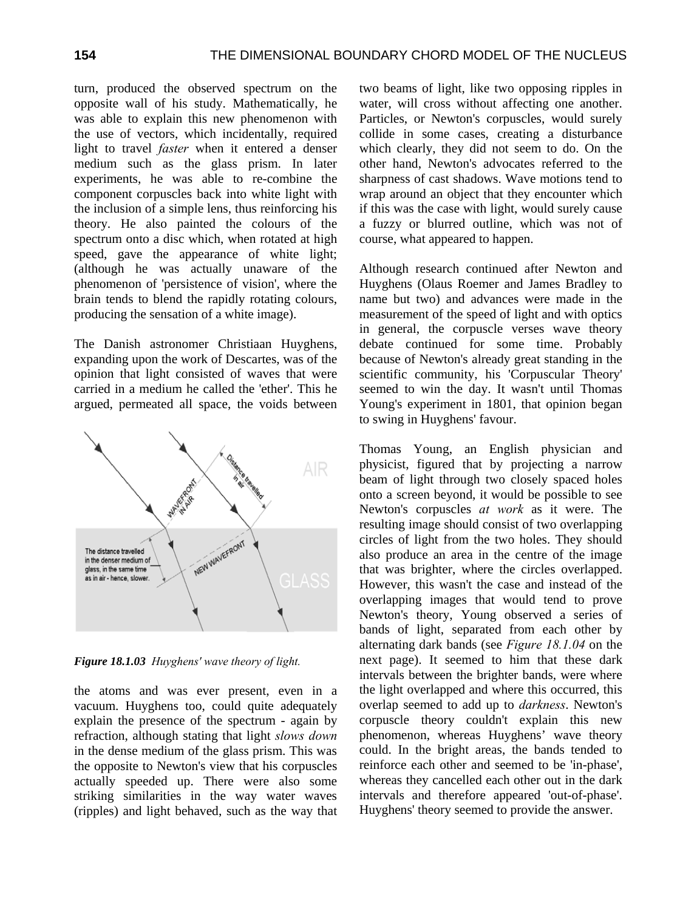turn, produced the observed spectrum on the opposite wall of his study. Mathematically, he was able to explain this new phenomenon with the use of vectors, which incidentally, required light to travel *faster* when it entered a denser medium such as the glass prism. In later experiments, he was able to re-combine the component corpuscles back into white light with the inclusion of a simple lens, thus reinforcing his theory. He also painted the colours of the spectrum onto a disc which, when rotated at high speed, gave the appearance of white light; (although he was actually unaware of the phenomenon of 'persistence of vision', where the brain tends to blend the rapidly rotating colours, producing the sensation of a white image).

The Danish astronomer Christiaan Huyghens, expanding upon the work of Descartes, was of the opinion that light consisted of waves that were carried in a medium he called the 'ether'. This he argued, permeated all space, the voids between



*Figure 18.1.03 Huyghens' wave theory of light.* 

the atoms and was ever present, even in a vacuum. Huyghens too, could quite adequately explain the presence of the spectrum - again by refraction, although stating that light *slows down* in the dense medium of the glass prism. This was the opposite to Newton's view that his corpuscles actually speeded up. There were also some striking similarities in the way water waves (ripples) and light behaved, such as the way that two beams of light, like two opposing ripples in water, will cross without affecting one another. Particles, or Newton's corpuscles, would surely collide in some cases, creating a disturbance which clearly, they did not seem to do. On the other hand, Newton's advocates referred to the sharpness of cast shadows. Wave motions tend to wrap around an object that they encounter which if this was the case with light, would surely cause a fuzzy or blurred outline, which was not of course, what appeared to happen.

Although research continued after Newton and Huyghens (Olaus Roemer and James Bradley to name but two) and advances were made in the measurement of the speed of light and with optics in general, the corpuscle verses wave theory debate continued for some time. Probably because of Newton's already great standing in the scientific community, his 'Corpuscular Theory' seemed to win the day. It wasn't until Thomas Young's experiment in 1801, that opinion began to swing in Huyghens' favour.

Thomas Young, an English physician and physicist, figured that by projecting a narrow beam of light through two closely spaced holes onto a screen beyond, it would be possible to see Newton's corpuscles *at work* as it were. The resulting image should consist of two overlapping circles of light from the two holes. They should also produce an area in the centre of the image that was brighter, where the circles overlapped. However, this wasn't the case and instead of the overlapping images that would tend to prove Newton's theory, Young observed a series of bands of light, separated from each other by alternating dark bands (see *Figure 18.1.04* on the next page). It seemed to him that these dark intervals between the brighter bands, were where the light overlapped and where this occurred, this overlap seemed to add up to *darkness*. Newton's corpuscle theory couldn't explain this new phenomenon, whereas Huyghens' wave theory could. In the bright areas, the bands tended to reinforce each other and seemed to be 'in-phase', whereas they cancelled each other out in the dark intervals and therefore appeared 'out-of-phase'. Huyghens' theory seemed to provide the answer.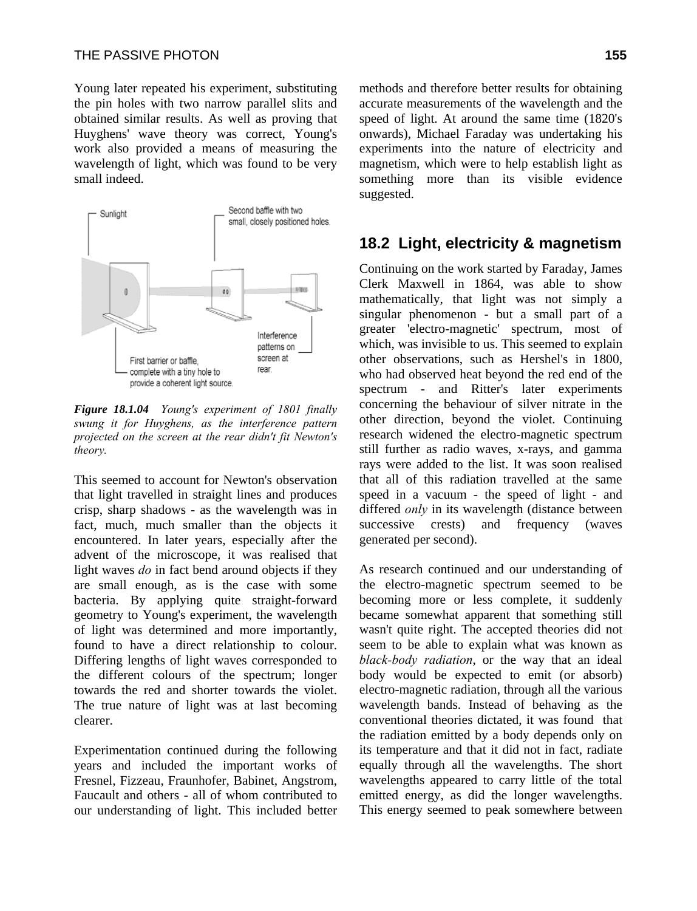Young later repeated his experiment, substituting the pin holes with two narrow parallel slits and obtained similar results. As well as proving that Huyghens' wave theory was correct, Young's work also provided a means of measuring the wavelength of light, which was found to be very small indeed.



*Figure 18.1.04 Young's experiment of 1801 finally swung it for Huyghens, as the interference pattern projected on the screen at the rear didn't fit Newton's theory.* 

This seemed to account for Newton's observation that light travelled in straight lines and produces crisp, sharp shadows - as the wavelength was in fact, much, much smaller than the objects it encountered. In later years, especially after the advent of the microscope, it was realised that light waves *do* in fact bend around objects if they are small enough, as is the case with some bacteria. By applying quite straight-forward geometry to Young's experiment, the wavelength of light was determined and more importantly, found to have a direct relationship to colour. Differing lengths of light waves corresponded to the different colours of the spectrum; longer towards the red and shorter towards the violet. The true nature of light was at last becoming clearer.

Experimentation continued during the following years and included the important works of Fresnel, Fizzeau, Fraunhofer, Babinet, Angstrom, Faucault and others - all of whom contributed to our understanding of light. This included better methods and therefore better results for obtaining accurate measurements of the wavelength and the speed of light. At around the same time (1820's onwards), Michael Faraday was undertaking his experiments into the nature of electricity and magnetism, which were to help establish light as something more than its visible evidence suggested.

### **18.2 Light, electricity & magnetism**

Continuing on the work started by Faraday, James Clerk Maxwell in 1864, was able to show mathematically, that light was not simply a singular phenomenon - but a small part of a greater 'electro-magnetic' spectrum, most of which, was invisible to us. This seemed to explain other observations, such as Hershel's in 1800, who had observed heat beyond the red end of the spectrum - and Ritter's later experiments concerning the behaviour of silver nitrate in the other direction, beyond the violet. Continuing research widened the electro-magnetic spectrum still further as radio waves, x-rays, and gamma rays were added to the list. It was soon realised that all of this radiation travelled at the same speed in a vacuum - the speed of light - and differed *only* in its wavelength (distance between successive crests) and frequency (waves generated per second).

As research continued and our understanding of the electro-magnetic spectrum seemed to be becoming more or less complete, it suddenly became somewhat apparent that something still wasn't quite right. The accepted theories did not seem to be able to explain what was known as *black-body radiation*, or the way that an ideal body would be expected to emit (or absorb) electro-magnetic radiation, through all the various wavelength bands. Instead of behaving as the conventional theories dictated, it was found that the radiation emitted by a body depends only on its temperature and that it did not in fact, radiate equally through all the wavelengths. The short wavelengths appeared to carry little of the total emitted energy, as did the longer wavelengths. This energy seemed to peak somewhere between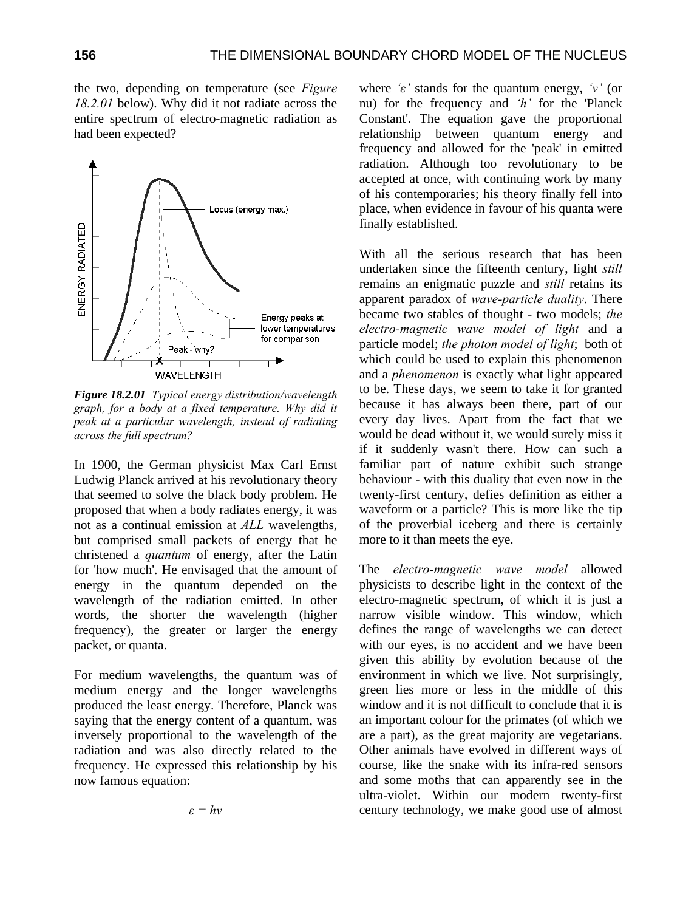the two, depending on temperature (see *Figure 18.2.01* below). Why did it not radiate across the entire spectrum of electro-magnetic radiation as had been expected?



*Figure 18.2.01 Typical energy distribution/wavelength graph, for a body at a fixed temperature. Why did it peak at a particular wavelength, instead of radiating across the full spectrum?* 

In 1900, the German physicist Max Carl Ernst Ludwig Planck arrived at his revolutionary theory that seemed to solve the black body problem. He proposed that when a body radiates energy, it was not as a continual emission at *ALL* wavelengths, but comprised small packets of energy that he christened a *quantum* of energy, after the Latin for 'how much'. He envisaged that the amount of energy in the quantum depended on the wavelength of the radiation emitted. In other words, the shorter the wavelength (higher frequency), the greater or larger the energy packet, or quanta.

For medium wavelengths, the quantum was of medium energy and the longer wavelengths produced the least energy. Therefore, Planck was saying that the energy content of a quantum, was inversely proportional to the wavelength of the radiation and was also directly related to the frequency. He expressed this relationship by his now famous equation:

*ε = hv* 

where *'ε'* stands for the quantum energy, *'v'* (or nu) for the frequency and *'h'* for the 'Planck Constant'. The equation gave the proportional relationship between quantum energy and frequency and allowed for the 'peak' in emitted radiation. Although too revolutionary to be accepted at once, with continuing work by many of his contemporaries; his theory finally fell into place, when evidence in favour of his quanta were finally established.

With all the serious research that has been undertaken since the fifteenth century, light *still* remains an enigmatic puzzle and *still* retains its apparent paradox of *wave-particle duality*. There became two stables of thought - two models; *the electro-magnetic wave model of light* and a particle model; *the photon model of light*; both of which could be used to explain this phenomenon and a *phenomenon* is exactly what light appeared to be. These days, we seem to take it for granted because it has always been there, part of our every day lives. Apart from the fact that we would be dead without it, we would surely miss it if it suddenly wasn't there. How can such a familiar part of nature exhibit such strange behaviour - with this duality that even now in the twenty-first century, defies definition as either a waveform or a particle? This is more like the tip of the proverbial iceberg and there is certainly more to it than meets the eye.

The *electro-magnetic wave model* allowed physicists to describe light in the context of the electro-magnetic spectrum, of which it is just a narrow visible window. This window, which defines the range of wavelengths we can detect with our eyes, is no accident and we have been given this ability by evolution because of the environment in which we live. Not surprisingly, green lies more or less in the middle of this window and it is not difficult to conclude that it is an important colour for the primates (of which we are a part), as the great majority are vegetarians. Other animals have evolved in different ways of course, like the snake with its infra-red sensors and some moths that can apparently see in the ultra-violet. Within our modern twenty-first century technology, we make good use of almost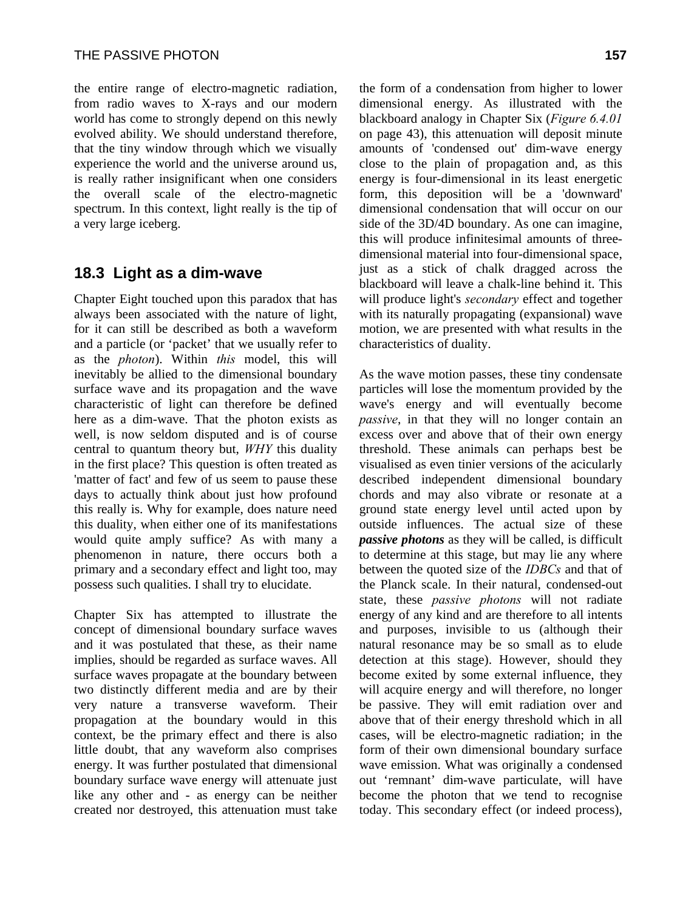the entire range of electro-magnetic radiation, from radio waves to X-rays and our modern world has come to strongly depend on this newly evolved ability. We should understand therefore, that the tiny window through which we visually experience the world and the universe around us, is really rather insignificant when one considers the overall scale of the electro-magnetic spectrum. In this context, light really is the tip of a very large iceberg.

## **18.3 Light as a dim-wave**

Chapter Eight touched upon this paradox that has always been associated with the nature of light, for it can still be described as both a waveform and a particle (or 'packet' that we usually refer to as the *photon*). Within *this* model, this will inevitably be allied to the dimensional boundary surface wave and its propagation and the wave characteristic of light can therefore be defined here as a dim-wave. That the photon exists as well, is now seldom disputed and is of course central to quantum theory but, *WHY* this duality in the first place? This question is often treated as 'matter of fact' and few of us seem to pause these days to actually think about just how profound this really is. Why for example, does nature need this duality, when either one of its manifestations would quite amply suffice? As with many a phenomenon in nature, there occurs both a primary and a secondary effect and light too, may possess such qualities. I shall try to elucidate.

Chapter Six has attempted to illustrate the concept of dimensional boundary surface waves and it was postulated that these, as their name implies, should be regarded as surface waves. All surface waves propagate at the boundary between two distinctly different media and are by their very nature a transverse waveform. Their propagation at the boundary would in this context, be the primary effect and there is also little doubt, that any waveform also comprises energy. It was further postulated that dimensional boundary surface wave energy will attenuate just like any other and - as energy can be neither created nor destroyed, this attenuation must take

the form of a condensation from higher to lower dimensional energy. As illustrated with the blackboard analogy in Chapter Six (*Figure 6.4.01* on page 43), this attenuation will deposit minute amounts of 'condensed out' dim-wave energy close to the plain of propagation and, as this energy is four-dimensional in its least energetic form, this deposition will be a 'downward' dimensional condensation that will occur on our side of the 3D/4D boundary. As one can imagine, this will produce infinitesimal amounts of threedimensional material into four-dimensional space, just as a stick of chalk dragged across the blackboard will leave a chalk-line behind it. This will produce light's *secondary* effect and together with its naturally propagating (expansional) wave motion, we are presented with what results in the characteristics of duality.

As the wave motion passes, these tiny condensate particles will lose the momentum provided by the wave's energy and will eventually become *passive*, in that they will no longer contain an excess over and above that of their own energy threshold. These animals can perhaps best be visualised as even tinier versions of the acicularly described independent dimensional boundary chords and may also vibrate or resonate at a ground state energy level until acted upon by outside influences. The actual size of these *passive photons* as they will be called, is difficult to determine at this stage, but may lie any where between the quoted size of the *IDBCs* and that of the Planck scale. In their natural, condensed-out state, these *passive photons* will not radiate energy of any kind and are therefore to all intents and purposes, invisible to us (although their natural resonance may be so small as to elude detection at this stage). However, should they become exited by some external influence, they will acquire energy and will therefore, no longer be passive. They will emit radiation over and above that of their energy threshold which in all cases, will be electro-magnetic radiation; in the form of their own dimensional boundary surface wave emission. What was originally a condensed out 'remnant' dim-wave particulate, will have become the photon that we tend to recognise today. This secondary effect (or indeed process),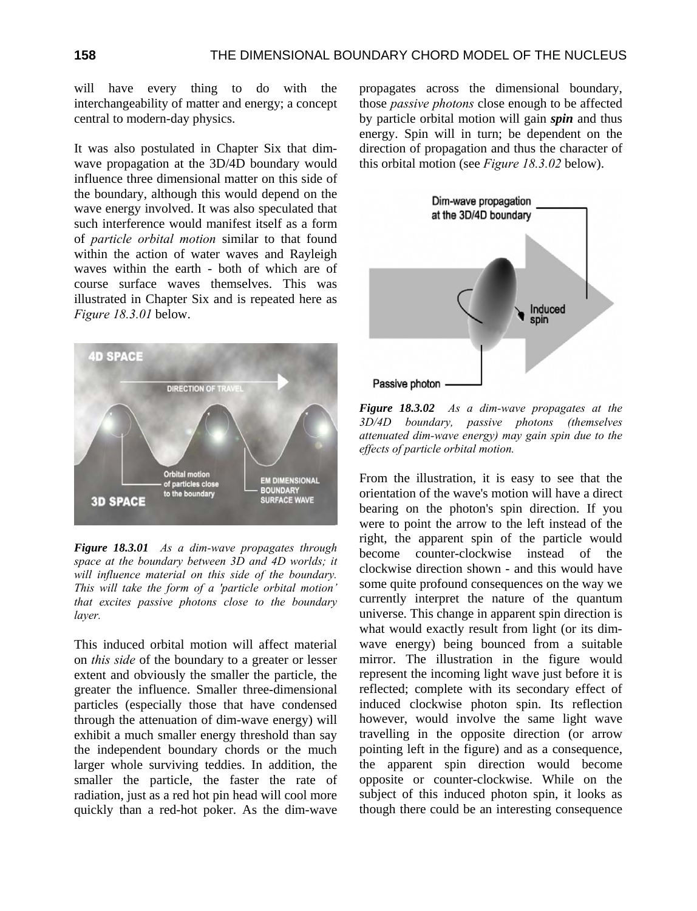will have every thing to do with the interchangeability of matter and energy; a concept central to modern-day physics.

It was also postulated in Chapter Six that dimwave propagation at the 3D/4D boundary would influence three dimensional matter on this side of the boundary, although this would depend on the wave energy involved. It was also speculated that such interference would manifest itself as a form of *particle orbital motion* similar to that found within the action of water waves and Rayleigh waves within the earth - both of which are of course surface waves themselves. This was illustrated in Chapter Six and is repeated here as *Figure 18.3.01* below.



*Figure 18.3.01 As a dim-wave propagates through space at the boundary between 3D and 4D worlds; it will influence material on this side of the boundary. This will take the form of a 'particle orbital motion' that excites passive photons close to the boundary layer.* 

This induced orbital motion will affect material on *this side* of the boundary to a greater or lesser extent and obviously the smaller the particle, the greater the influence. Smaller three-dimensional particles (especially those that have condensed through the attenuation of dim-wave energy) will exhibit a much smaller energy threshold than say the independent boundary chords or the much larger whole surviving teddies. In addition, the smaller the particle, the faster the rate of radiation, just as a red hot pin head will cool more quickly than a red-hot poker. As the dim-wave propagates across the dimensional boundary, those *passive photons* close enough to be affected by particle orbital motion will gain *spin* and thus energy. Spin will in turn; be dependent on the direction of propagation and thus the character of this orbital motion (see *Figure 18.3.02* below).



*Figure 18.3.02 As a dim-wave propagates at the 3D/4D boundary, passive photons (themselves attenuated dim-wave energy) may gain spin due to the effects of particle orbital motion.* 

From the illustration, it is easy to see that the orientation of the wave's motion will have a direct bearing on the photon's spin direction. If you were to point the arrow to the left instead of the right, the apparent spin of the particle would become counter-clockwise instead of the clockwise direction shown - and this would have some quite profound consequences on the way we currently interpret the nature of the quantum universe. This change in apparent spin direction is what would exactly result from light (or its dimwave energy) being bounced from a suitable mirror. The illustration in the figure would represent the incoming light wave just before it is reflected; complete with its secondary effect of induced clockwise photon spin. Its reflection however, would involve the same light wave travelling in the opposite direction (or arrow pointing left in the figure) and as a consequence, the apparent spin direction would become opposite or counter-clockwise. While on the subject of this induced photon spin, it looks as though there could be an interesting consequence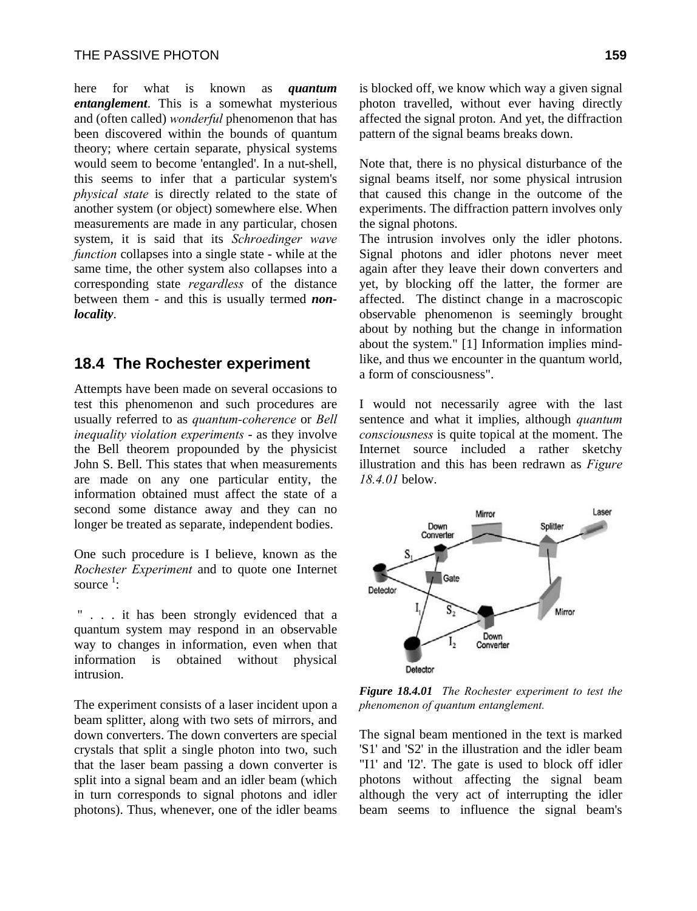here for what is known as *quantum entanglement*. This is a somewhat mysterious and (often called) *wonderful* phenomenon that has been discovered within the bounds of quantum theory; where certain separate, physical systems would seem to become 'entangled'. In a nut-shell, this seems to infer that a particular system's *physical state* is directly related to the state of another system (or object) somewhere else. When measurements are made in any particular, chosen system, it is said that its *Schroedinger wave function* collapses into a single state - while at the same time, the other system also collapses into a corresponding state *regardless* of the distance between them - and this is usually termed *nonlocality*.

#### **18.4 The Rochester experiment**

Attempts have been made on several occasions to test this phenomenon and such procedures are usually referred to as *quantum-coherence* or *Bell inequality violation experiments* - as they involve the Bell theorem propounded by the physicist John S. Bell. This states that when measurements are made on any one particular entity, the information obtained must affect the state of a second some distance away and they can no longer be treated as separate, independent bodies.

One such procedure is I believe, known as the *Rochester Experiment* and to quote one Internet source  $\frac{1}{1}$ :

 " . . . it has been strongly evidenced that a quantum system may respond in an observable way to changes in information, even when that information is obtained without physical intrusion.

The experiment consists of a laser incident upon a beam splitter, along with two sets of mirrors, and down converters. The down converters are special crystals that split a single photon into two, such that the laser beam passing a down converter is split into a signal beam and an idler beam (which in turn corresponds to signal photons and idler photons). Thus, whenever, one of the idler beams is blocked off, we know which way a given signal photon travelled, without ever having directly affected the signal proton. And yet, the diffraction pattern of the signal beams breaks down.

Note that, there is no physical disturbance of the signal beams itself, nor some physical intrusion that caused this change in the outcome of the experiments. The diffraction pattern involves only the signal photons.

The intrusion involves only the idler photons. Signal photons and idler photons never meet again after they leave their down converters and yet, by blocking off the latter, the former are affected. The distinct change in a macroscopic observable phenomenon is seemingly brought about by nothing but the change in information about the system." [1] Information implies mindlike, and thus we encounter in the quantum world, a form of consciousness".

I would not necessarily agree with the last sentence and what it implies, although *quantum consciousness* is quite topical at the moment. The Internet source included a rather sketchy illustration and this has been redrawn as *Figure 18.4.01* below.



*Figure 18.4.01 The Rochester experiment to test the phenomenon of quantum entanglement.* 

The signal beam mentioned in the text is marked 'S1' and 'S2' in the illustration and the idler beam "I1' and 'I2'. The gate is used to block off idler photons without affecting the signal beam although the very act of interrupting the idler beam seems to influence the signal beam's